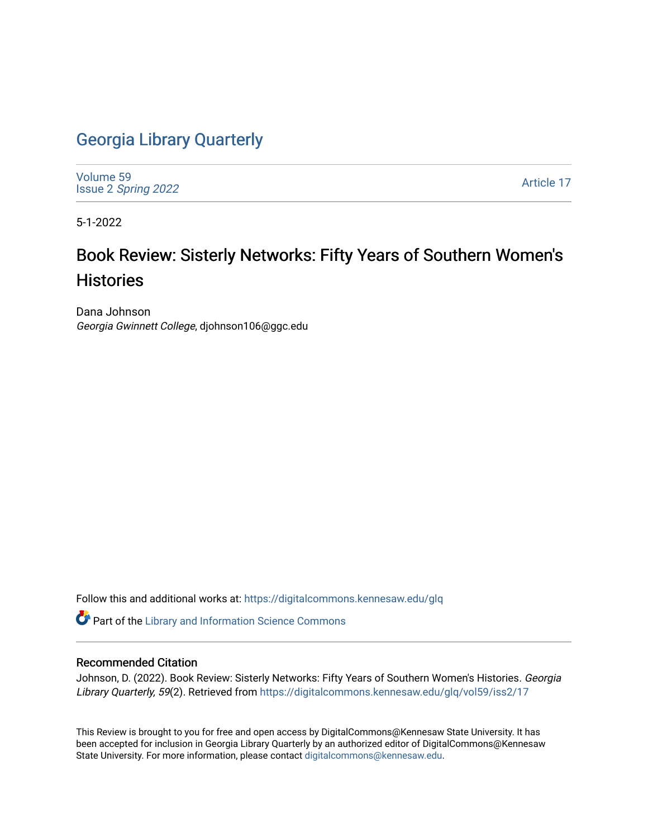## [Georgia Library Quarterly](https://digitalcommons.kennesaw.edu/glq)

[Volume 59](https://digitalcommons.kennesaw.edu/glq/vol59) Issue 2 [Spring 2022](https://digitalcommons.kennesaw.edu/glq/vol59/iss2) 

[Article 17](https://digitalcommons.kennesaw.edu/glq/vol59/iss2/17) 

5-1-2022

## Book Review: Sisterly Networks: Fifty Years of Southern Women's **Histories**

Dana Johnson Georgia Gwinnett College, djohnson106@ggc.edu

Follow this and additional works at: [https://digitalcommons.kennesaw.edu/glq](https://digitalcommons.kennesaw.edu/glq?utm_source=digitalcommons.kennesaw.edu%2Fglq%2Fvol59%2Fiss2%2F17&utm_medium=PDF&utm_campaign=PDFCoverPages) 

Part of the [Library and Information Science Commons](http://network.bepress.com/hgg/discipline/1018?utm_source=digitalcommons.kennesaw.edu%2Fglq%2Fvol59%2Fiss2%2F17&utm_medium=PDF&utm_campaign=PDFCoverPages) 

## Recommended Citation

Johnson, D. (2022). Book Review: Sisterly Networks: Fifty Years of Southern Women's Histories. Georgia Library Quarterly, 59(2). Retrieved from https://digitalcommons.kennesaw.edu/glq/vol59/iss2/17

This Review is brought to you for free and open access by DigitalCommons@Kennesaw State University. It has been accepted for inclusion in Georgia Library Quarterly by an authorized editor of DigitalCommons@Kennesaw State University. For more information, please contact [digitalcommons@kennesaw.edu.](mailto:digitalcommons@kennesaw.edu)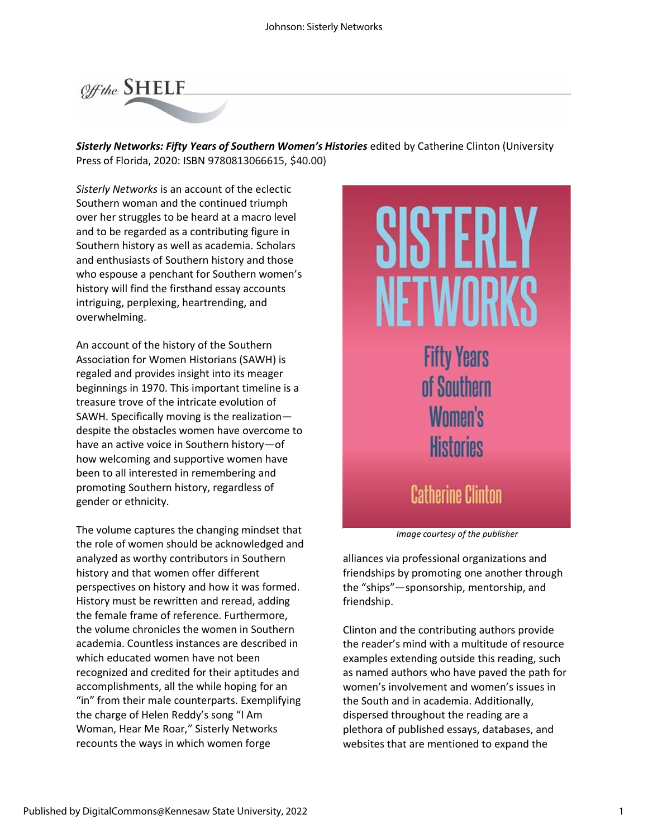

*Sisterly Networks: Fifty Years of Southern Women's Histories* edited by Catherine Clinton (University Press of Florida, 2020: ISBN 9780813066615, \$40.00)

*Sisterly Networks* is an account of the eclectic Southern woman and the continued triumph over her struggles to be heard at a macro level and to be regarded as a contributing figure in Southern history as well as academia. Scholars and enthusiasts of Southern history and those who espouse a penchant for Southern women's history will find the firsthand essay accounts intriguing, perplexing, heartrending, and overwhelming.

An account of the history of the Southern Association for Women Historians (SAWH) is regaled and provides insight into its meager beginnings in 1970. This important timeline is a treasure trove of the intricate evolution of SAWH. Specifically moving is the realization despite the obstacles women have overcome to have an active voice in Southern history—of how welcoming and supportive women have been to all interested in remembering and promoting Southern history, regardless of gender or ethnicity.

The volume captures the changing mindset that the role of women should be acknowledged and analyzed as worthy contributors in Southern history and that women offer different perspectives on history and how it was formed. History must be rewritten and reread, adding the female frame of reference. Furthermore, the volume chronicles the women in Southern academia. Countless instances are described in which educated women have not been recognized and credited for their aptitudes and accomplishments, all the while hoping for an "in" from their male counterparts. Exemplifying the charge of Helen Reddy's song "I Am Woman, Hear Me Roar," Sisterly Networks recounts the ways in which women forge



*Image courtesy of the publisher*

alliances via professional organizations and friendships by promoting one another through the "ships"—sponsorship, mentorship, and friendship.

Clinton and the contributing authors provide the reader's mind with a multitude of resource examples extending outside this reading, such as named authors who have paved the path for women's involvement and women's issues in the South and in academia. Additionally, dispersed throughout the reading are a plethora of published essays, databases, and websites that are mentioned to expand the